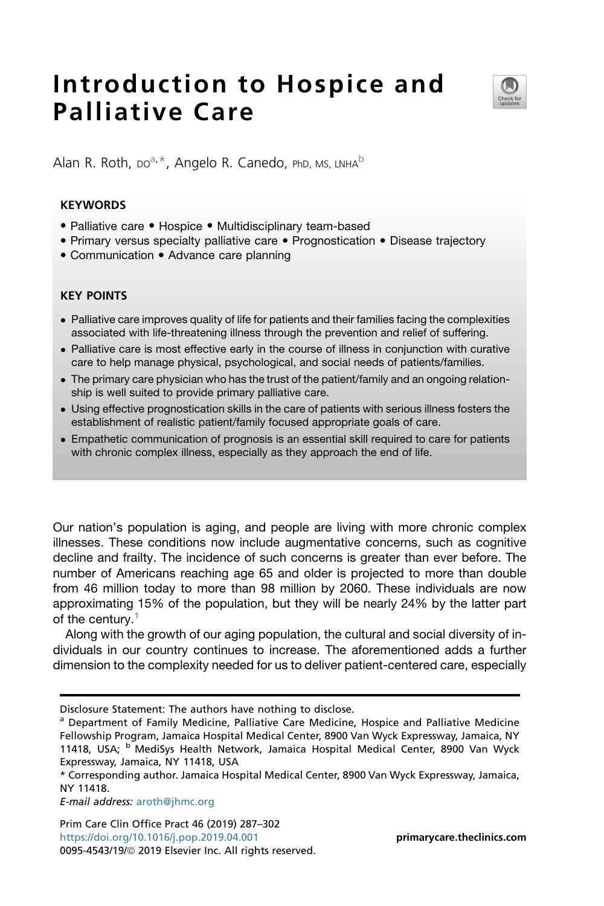# Introduction to Hospice and Palliative Care



Alan R. Roth, <sub>DO</sub>a,\*, Angelo R. Canedo, PhD, MS, LNHA<sup>b</sup>

#### **KEYWORDS**

- Palliative care Hospice Multidisciplinary team-based
- Primary versus specialty palliative care Prognostication Disease trajectory
- Communication Advance care planning

#### KEY POINTS

- Palliative care improves quality of life for patients and their families facing the complexities associated with life-threatening illness through the prevention and relief of suffering.
- Palliative care is most effective early in the course of illness in conjunction with curative care to help manage physical, psychological, and social needs of patients/families.
- The primary care physician who has the trust of the patient/family and an ongoing relationship is well suited to provide primary palliative care.
- Using effective prognostication skills in the care of patients with serious illness fosters the establishment of realistic patient/family focused appropriate goals of care.
- Empathetic communication of prognosis is an essential skill required to care for patients with chronic complex illness, especially as they approach the end of life.

Our nation's population is aging, and people are living with more chronic complex illnesses. These conditions now include augmentative concerns, such as cognitive decline and frailty. The incidence of such concerns is greater than ever before. The number of Americans reaching age 65 and older is projected to more than double from 46 million today to more than 98 million by 2060. These individuals are now approximating 15% of the population, but they will be nearly 24% by the latter part of the century.<sup>[1](#page-13-0)</sup>

Along with the growth of our aging population, the cultural and social diversity of individuals in our country continues to increase. The aforementioned adds a further dimension to the complexity needed for us to deliver patient-centered care, especially

E-mail address: [aroth@jhmc.org](mailto:aroth@jhmc.org)

Prim Care Clin Office Pract 46 (2019) 287–302 <https://doi.org/10.1016/j.pop.2019.04.001> **[primarycare.theclinics.com](http://primarycare.theclinics.com)** 0095-4543/19/@ 2019 Elsevier Inc. All rights reserved.

Disclosure Statement: The authors have nothing to disclose.

<sup>&</sup>lt;sup>a</sup> Department of Family Medicine, Palliative Care Medicine, Hospice and Palliative Medicine Fellowship Program, Jamaica Hospital Medical Center, 8900 Van Wyck Expressway, Jamaica, NY 11418, USA; <sup>b</sup> MediSys Health Network, Jamaica Hospital Medical Center, 8900 Van Wyck Expressway, Jamaica, NY 11418, USA

<sup>\*</sup> Corresponding author. Jamaica Hospital Medical Center, 8900 Van Wyck Expressway, Jamaica, NY 11418.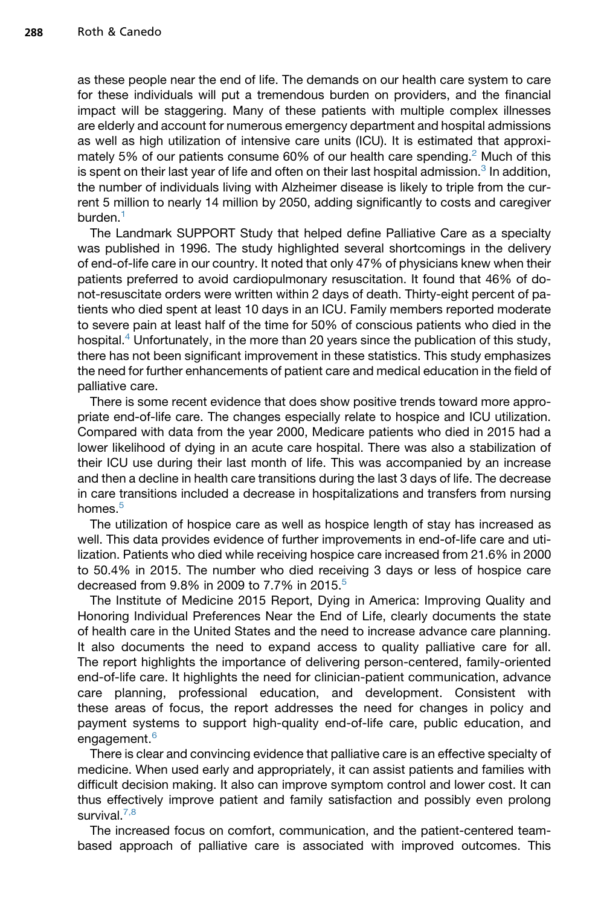as these people near the end of life. The demands on our health care system to care for these individuals will put a tremendous burden on providers, and the financial impact will be staggering. Many of these patients with multiple complex illnesses are elderly and account for numerous emergency department and hospital admissions as well as high utilization of intensive care units (ICU). It is estimated that approximately 5% of our patients consume  $60\%$  of our health care spending.<sup>2</sup> Much of this is spent on their last year of life and often on their last hospital admission. $3$  In addition, the number of individuals living with Alzheimer disease is likely to triple from the current 5 million to nearly 14 million by 2050, adding significantly to costs and caregiver burden.<sup>[1](#page-13-0)</sup>

The Landmark SUPPORT Study that helped define Palliative Care as a specialty was published in 1996. The study highlighted several shortcomings in the delivery of end-of-life care in our country. It noted that only 47% of physicians knew when their patients preferred to avoid cardiopulmonary resuscitation. It found that 46% of donot-resuscitate orders were written within 2 days of death. Thirty-eight percent of patients who died spent at least 10 days in an ICU. Family members reported moderate to severe pain at least half of the time for 50% of conscious patients who died in the hospital.<sup>[4](#page-13-0)</sup> Unfortunately, in the more than 20 years since the publication of this study, there has not been significant improvement in these statistics. This study emphasizes the need for further enhancements of patient care and medical education in the field of palliative care.

There is some recent evidence that does show positive trends toward more appropriate end-of-life care. The changes especially relate to hospice and ICU utilization. Compared with data from the year 2000, Medicare patients who died in 2015 had a lower likelihood of dying in an acute care hospital. There was also a stabilization of their ICU use during their last month of life. This was accompanied by an increase and then a decline in health care transitions during the last 3 days of life. The decrease in care transitions included a decrease in hospitalizations and transfers from nursing homes  $5$ 

The utilization of hospice care as well as hospice length of stay has increased as well. This data provides evidence of further improvements in end-of-life care and utilization. Patients who died while receiving hospice care increased from 21.6% in 2000 to 50.4% in 2015. The number who died receiving 3 days or less of hospice care decreased from 9.8% in 2009 to 7.7% in 2015.[5](#page-13-0)

The Institute of Medicine 2015 Report, Dying in America: Improving Quality and Honoring Individual Preferences Near the End of Life, clearly documents the state of health care in the United States and the need to increase advance care planning. It also documents the need to expand access to quality palliative care for all. The report highlights the importance of delivering person-centered, family-oriented end-of-life care. It highlights the need for clinician-patient communication, advance care planning, professional education, and development. Consistent with these areas of focus, the report addresses the need for changes in policy and payment systems to support high-quality end-of-life care, public education, and engagement.<sup>[6](#page-14-0)</sup>

There is clear and convincing evidence that palliative care is an effective specialty of medicine. When used early and appropriately, it can assist patients and families with difficult decision making. It also can improve symptom control and lower cost. It can thus effectively improve patient and family satisfaction and possibly even prolong survival. $7,8$ 

The increased focus on comfort, communication, and the patient-centered teambased approach of palliative care is associated with improved outcomes. This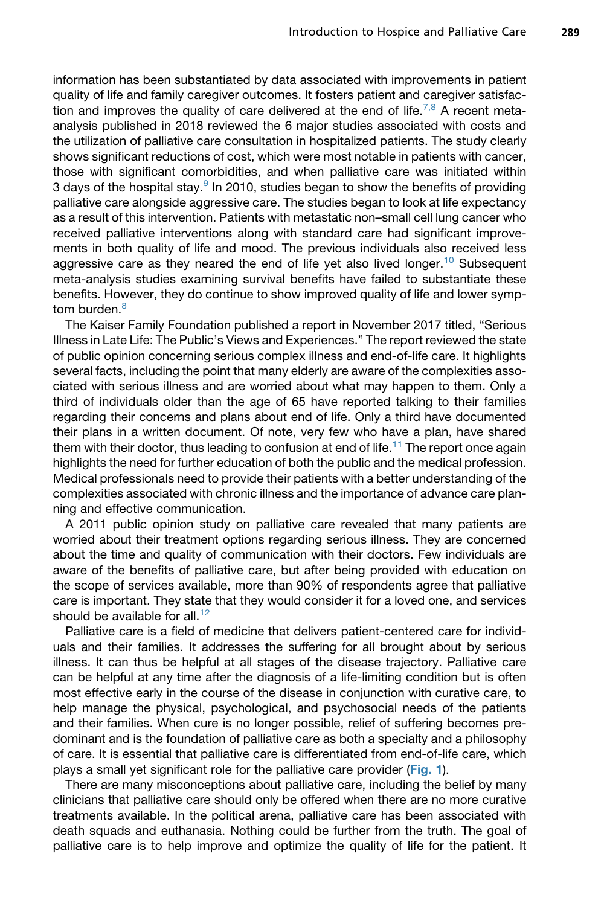information has been substantiated by data associated with improvements in patient quality of life and family caregiver outcomes. It fosters patient and caregiver satisfac-tion and improves the quality of care delivered at the end of life.<sup>[7,8](#page-14-0)</sup> A recent metaanalysis published in 2018 reviewed the 6 major studies associated with costs and the utilization of palliative care consultation in hospitalized patients. The study clearly shows significant reductions of cost, which were most notable in patients with cancer, those with significant comorbidities, and when palliative care was initiated within 3 days of the hospital stay. $9$  In 2010, studies began to show the benefits of providing palliative care alongside aggressive care. The studies began to look at life expectancy as a result of this intervention. Patients with metastatic non–small cell lung cancer who received palliative interventions along with standard care had significant improvements in both quality of life and mood. The previous individuals also received less aggressive care as they neared the end of life yet also lived longer.<sup>[10](#page-14-0)</sup> Subsequent meta-analysis studies examining survival benefits have failed to substantiate these benefits. However, they do continue to show improved quality of life and lower symptom burden $8$ 

The Kaiser Family Foundation published a report in November 2017 titled, "Serious Illness in Late Life: The Public's Views and Experiences." The report reviewed the state of public opinion concerning serious complex illness and end-of-life care. It highlights several facts, including the point that many elderly are aware of the complexities associated with serious illness and are worried about what may happen to them. Only a third of individuals older than the age of 65 have reported talking to their families regarding their concerns and plans about end of life. Only a third have documented their plans in a written document. Of note, very few who have a plan, have shared them with their doctor, thus leading to confusion at end of life.<sup>[11](#page-14-0)</sup> The report once again highlights the need for further education of both the public and the medical profession. Medical professionals need to provide their patients with a better understanding of the complexities associated with chronic illness and the importance of advance care planning and effective communication.

A 2011 public opinion study on palliative care revealed that many patients are worried about their treatment options regarding serious illness. They are concerned about the time and quality of communication with their doctors. Few individuals are aware of the benefits of palliative care, but after being provided with education on the scope of services available, more than 90% of respondents agree that palliative care is important. They state that they would consider it for a loved one, and services should be available for all.<sup>[12](#page-14-0)</sup>

Palliative care is a field of medicine that delivers patient-centered care for individuals and their families. It addresses the suffering for all brought about by serious illness. It can thus be helpful at all stages of the disease trajectory. Palliative care can be helpful at any time after the diagnosis of a life-limiting condition but is often most effective early in the course of the disease in conjunction with curative care, to help manage the physical, psychological, and psychosocial needs of the patients and their families. When cure is no longer possible, relief of suffering becomes predominant and is the foundation of palliative care as both a specialty and a philosophy of care. It is essential that palliative care is differentiated from end-of-life care, which plays a small yet significant role for the palliative care provider ([Fig. 1](#page-3-0)).

There are many misconceptions about palliative care, including the belief by many clinicians that palliative care should only be offered when there are no more curative treatments available. In the political arena, palliative care has been associated with death squads and euthanasia. Nothing could be further from the truth. The goal of palliative care is to help improve and optimize the quality of life for the patient. It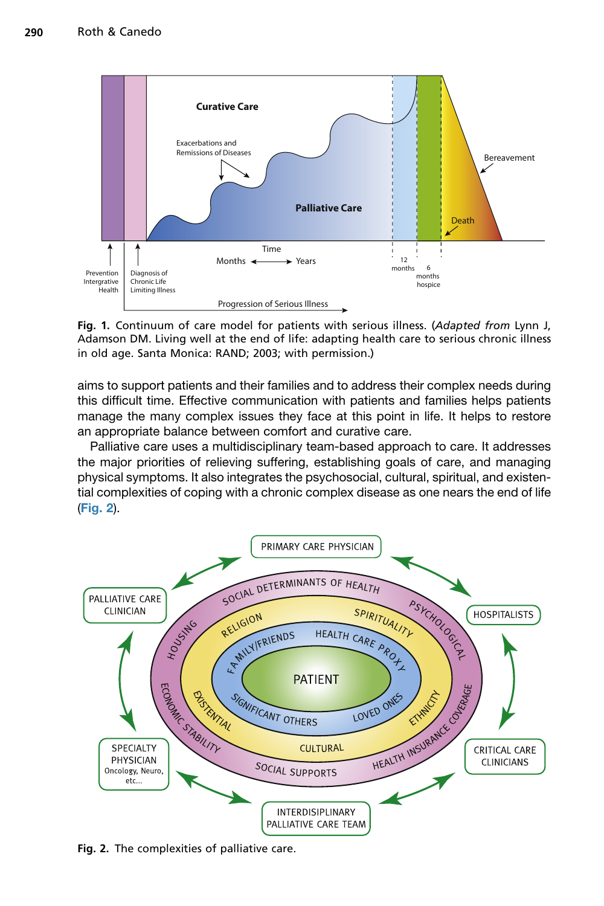<span id="page-3-0"></span>

Fig. 1. Continuum of care model for patients with serious illness. (Adapted from Lynn J, Adamson DM. Living well at the end of life: adapting health care to serious chronic illness in old age. Santa Monica: RAND; 2003; with permission.)

aims to support patients and their families and to address their complex needs during this difficult time. Effective communication with patients and families helps patients manage the many complex issues they face at this point in life. It helps to restore an appropriate balance between comfort and curative care.

Palliative care uses a multidisciplinary team-based approach to care. It addresses the major priorities of relieving suffering, establishing goals of care, and managing physical symptoms. It also integrates the psychosocial, cultural, spiritual, and existential complexities of coping with a chronic complex disease as one nears the end of life (Fig. 2).



Fig. 2. The complexities of palliative care.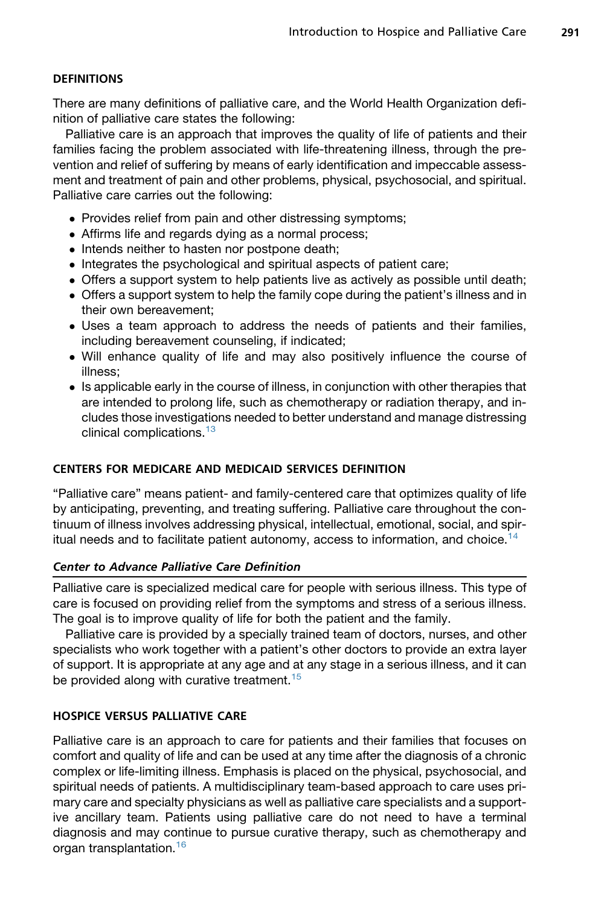## **DEFINITIONS**

There are many definitions of palliative care, and the World Health Organization definition of palliative care states the following:

Palliative care is an approach that improves the quality of life of patients and their families facing the problem associated with life-threatening illness, through the prevention and relief of suffering by means of early identification and impeccable assessment and treatment of pain and other problems, physical, psychosocial, and spiritual. Palliative care carries out the following:

- Provides relief from pain and other distressing symptoms;
- Affirms life and regards dying as a normal process;
- Intends neither to hasten nor postpone death;
- Integrates the psychological and spiritual aspects of patient care;
- Offers a support system to help patients live as actively as possible until death;
- Offers a support system to help the family cope during the patient's illness and in their own bereavement;
- Uses a team approach to address the needs of patients and their families, including bereavement counseling, if indicated;
- Will enhance quality of life and may also positively influence the course of illness;
- Is applicable early in the course of illness, in conjunction with other therapies that are intended to prolong life, such as chemotherapy or radiation therapy, and includes those investigations needed to better understand and manage distressing clinical complications.<sup>[13](#page-14-0)</sup>

#### CENTERS FOR MEDICARE AND MEDICAID SERVICES DEFINITION

"Palliative care" means patient- and family-centered care that optimizes quality of life by anticipating, preventing, and treating suffering. Palliative care throughout the continuum of illness involves addressing physical, intellectual, emotional, social, and spir-itual needs and to facilitate patient autonomy, access to information, and choice.<sup>[14](#page-14-0)</sup>

## Center to Advance Palliative Care Definition

Palliative care is specialized medical care for people with serious illness. This type of care is focused on providing relief from the symptoms and stress of a serious illness. The goal is to improve quality of life for both the patient and the family.

Palliative care is provided by a specially trained team of doctors, nurses, and other specialists who work together with a patient's other doctors to provide an extra layer of support. It is appropriate at any age and at any stage in a serious illness, and it can be provided along with curative treatment.<sup>[15](#page-14-0)</sup>

#### HOSPICE VERSUS PALLIATIVE CARE

Palliative care is an approach to care for patients and their families that focuses on comfort and quality of life and can be used at any time after the diagnosis of a chronic complex or life-limiting illness. Emphasis is placed on the physical, psychosocial, and spiritual needs of patients. A multidisciplinary team-based approach to care uses primary care and specialty physicians as well as palliative care specialists and a supportive ancillary team. Patients using palliative care do not need to have a terminal diagnosis and may continue to pursue curative therapy, such as chemotherapy and organ transplantation.<sup>[16](#page-14-0)</sup>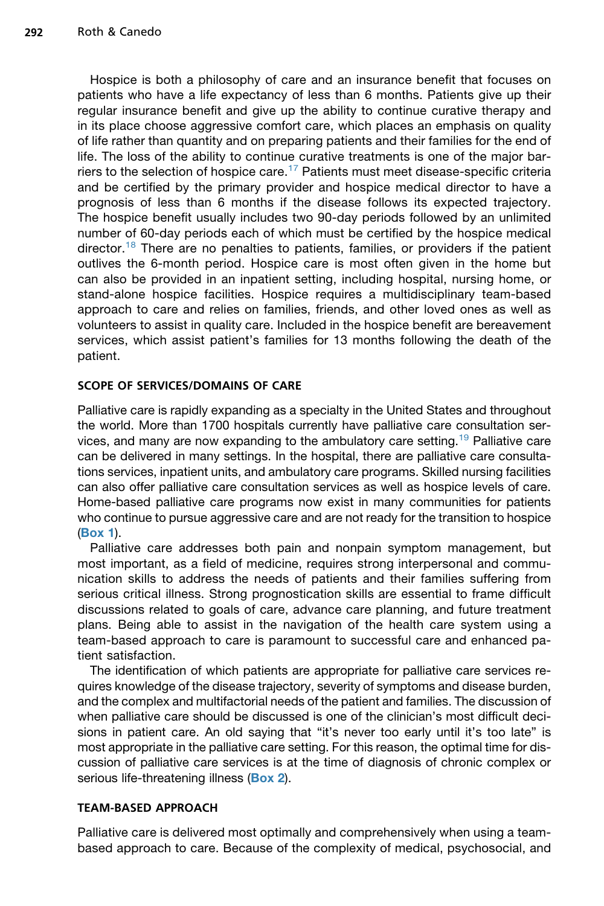Hospice is both a philosophy of care and an insurance benefit that focuses on patients who have a life expectancy of less than 6 months. Patients give up their regular insurance benefit and give up the ability to continue curative therapy and in its place choose aggressive comfort care, which places an emphasis on quality of life rather than quantity and on preparing patients and their families for the end of life. The loss of the ability to continue curative treatments is one of the major bar-riers to the selection of hospice care.<sup>[17](#page-14-0)</sup> Patients must meet disease-specific criteria and be certified by the primary provider and hospice medical director to have a prognosis of less than 6 months if the disease follows its expected trajectory. The hospice benefit usually includes two 90-day periods followed by an unlimited number of 60-day periods each of which must be certified by the hospice medical director.<sup>[18](#page-14-0)</sup> There are no penalties to patients, families, or providers if the patient outlives the 6-month period. Hospice care is most often given in the home but can also be provided in an inpatient setting, including hospital, nursing home, or stand-alone hospice facilities. Hospice requires a multidisciplinary team-based approach to care and relies on families, friends, and other loved ones as well as volunteers to assist in quality care. Included in the hospice benefit are bereavement services, which assist patient's families for 13 months following the death of the patient.

## SCOPE OF SERVICES/DOMAINS OF CARE

Palliative care is rapidly expanding as a specialty in the United States and throughout the world. More than 1700 hospitals currently have palliative care consultation ser-vices, and many are now expanding to the ambulatory care setting.<sup>[19](#page-14-0)</sup> Palliative care can be delivered in many settings. In the hospital, there are palliative care consultations services, inpatient units, and ambulatory care programs. Skilled nursing facilities can also offer palliative care consultation services as well as hospice levels of care. Home-based palliative care programs now exist in many communities for patients who continue to pursue aggressive care and are not ready for the transition to hospice ([Box 1](#page-6-0)).

Palliative care addresses both pain and nonpain symptom management, but most important, as a field of medicine, requires strong interpersonal and communication skills to address the needs of patients and their families suffering from serious critical illness. Strong prognostication skills are essential to frame difficult discussions related to goals of care, advance care planning, and future treatment plans. Being able to assist in the navigation of the health care system using a team-based approach to care is paramount to successful care and enhanced patient satisfaction.

The identification of which patients are appropriate for palliative care services requires knowledge of the disease trajectory, severity of symptoms and disease burden, and the complex and multifactorial needs of the patient and families. The discussion of when palliative care should be discussed is one of the clinician's most difficult decisions in patient care. An old saying that "it's never too early until it's too late" is most appropriate in the palliative care setting. For this reason, the optimal time for discussion of palliative care services is at the time of diagnosis of chronic complex or serious life-threatening illness ([Box 2](#page-7-0)).

#### TEAM-BASED APPROACH

Palliative care is delivered most optimally and comprehensively when using a teambased approach to care. Because of the complexity of medical, psychosocial, and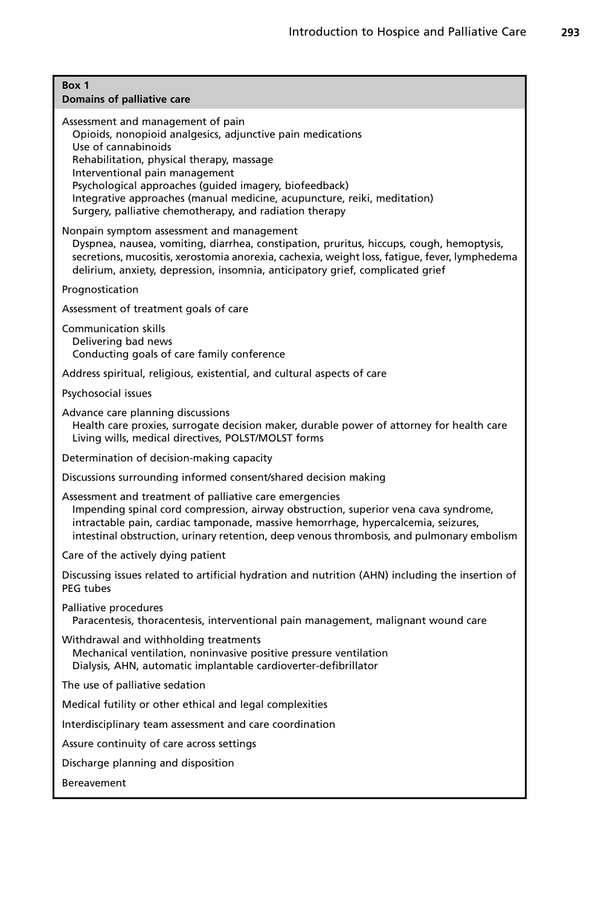<span id="page-6-0"></span>

| Box 1                                                                                                                                                                                                                                                                                                                                                                                                  |
|--------------------------------------------------------------------------------------------------------------------------------------------------------------------------------------------------------------------------------------------------------------------------------------------------------------------------------------------------------------------------------------------------------|
| Domains of palliative care                                                                                                                                                                                                                                                                                                                                                                             |
| Assessment and management of pain<br>Opioids, nonopioid analgesics, adjunctive pain medications<br>Use of cannabinoids<br>Rehabilitation, physical therapy, massage<br>Interventional pain management<br>Psychological approaches (guided imagery, biofeedback)<br>Integrative approaches (manual medicine, acupuncture, reiki, meditation)<br>Surgery, palliative chemotherapy, and radiation therapy |
| Nonpain symptom assessment and management<br>Dyspnea, nausea, vomiting, diarrhea, constipation, pruritus, hiccups, cough, hemoptysis,<br>secretions, mucositis, xerostomia anorexia, cachexia, weight loss, fatique, fever, lymphedema<br>delirium, anxiety, depression, insomnia, anticipatory grief, complicated grief                                                                               |
| Prognostication                                                                                                                                                                                                                                                                                                                                                                                        |
| Assessment of treatment goals of care                                                                                                                                                                                                                                                                                                                                                                  |
| <b>Communication skills</b><br>Delivering bad news<br>Conducting goals of care family conference                                                                                                                                                                                                                                                                                                       |
| Address spiritual, religious, existential, and cultural aspects of care                                                                                                                                                                                                                                                                                                                                |
| Psychosocial issues                                                                                                                                                                                                                                                                                                                                                                                    |
| Advance care planning discussions<br>Health care proxies, surrogate decision maker, durable power of attorney for health care<br>Living wills, medical directives, POLST/MOLST forms                                                                                                                                                                                                                   |
| Determination of decision-making capacity                                                                                                                                                                                                                                                                                                                                                              |
| Discussions surrounding informed consent/shared decision making                                                                                                                                                                                                                                                                                                                                        |
| Assessment and treatment of palliative care emergencies<br>Impending spinal cord compression, airway obstruction, superior vena cava syndrome,<br>intractable pain, cardiac tamponade, massive hemorrhage, hypercalcemia, seizures,<br>intestinal obstruction, urinary retention, deep venous thrombosis, and pulmonary embolism                                                                       |
| Care of the actively dying patient                                                                                                                                                                                                                                                                                                                                                                     |
| Discussing issues related to artificial hydration and nutrition (AHN) including the insertion of<br><b>PEG tubes</b>                                                                                                                                                                                                                                                                                   |
| Palliative procedures<br>Paracentesis, thoracentesis, interventional pain management, malignant wound care                                                                                                                                                                                                                                                                                             |
| Withdrawal and withholding treatments<br>Mechanical ventilation, noninvasive positive pressure ventilation<br>Dialysis, AHN, automatic implantable cardioverter-defibrillator                                                                                                                                                                                                                          |
| The use of palliative sedation                                                                                                                                                                                                                                                                                                                                                                         |
| Medical futility or other ethical and legal complexities                                                                                                                                                                                                                                                                                                                                               |
| Interdisciplinary team assessment and care coordination                                                                                                                                                                                                                                                                                                                                                |
| Assure continuity of care across settings                                                                                                                                                                                                                                                                                                                                                              |
| Discharge planning and disposition                                                                                                                                                                                                                                                                                                                                                                     |
| Bereavement                                                                                                                                                                                                                                                                                                                                                                                            |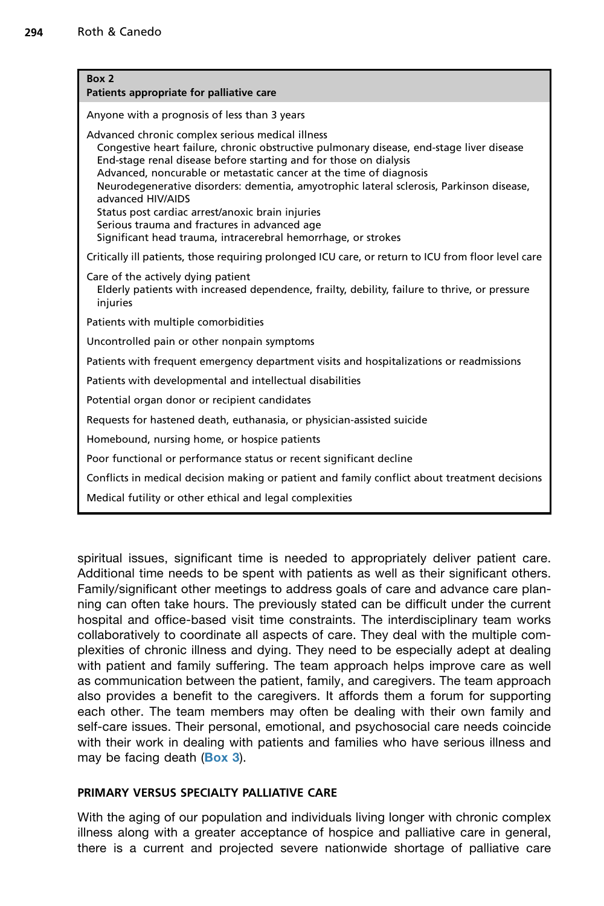<span id="page-7-0"></span>

| Box 2<br>Patients appropriate for palliative care                                                                                                                                                                                                                                                                                                                                                                                                                                                                                                                             |
|-------------------------------------------------------------------------------------------------------------------------------------------------------------------------------------------------------------------------------------------------------------------------------------------------------------------------------------------------------------------------------------------------------------------------------------------------------------------------------------------------------------------------------------------------------------------------------|
| Anyone with a prognosis of less than 3 years                                                                                                                                                                                                                                                                                                                                                                                                                                                                                                                                  |
| Advanced chronic complex serious medical illness<br>Congestive heart failure, chronic obstructive pulmonary disease, end-stage liver disease<br>End-stage renal disease before starting and for those on dialysis<br>Advanced, noncurable or metastatic cancer at the time of diagnosis<br>Neurodegenerative disorders: dementia, amyotrophic lateral sclerosis, Parkinson disease,<br>advanced HIV/AIDS<br>Status post cardiac arrest/anoxic brain injuries<br>Serious trauma and fractures in advanced age<br>Significant head trauma, intracerebral hemorrhage, or strokes |
| Critically ill patients, those requiring prolonged ICU care, or return to ICU from floor level care                                                                                                                                                                                                                                                                                                                                                                                                                                                                           |
| Care of the actively dying patient<br>Elderly patients with increased dependence, frailty, debility, failure to thrive, or pressure<br>injuries                                                                                                                                                                                                                                                                                                                                                                                                                               |
| Patients with multiple comorbidities                                                                                                                                                                                                                                                                                                                                                                                                                                                                                                                                          |
| Uncontrolled pain or other nonpain symptoms                                                                                                                                                                                                                                                                                                                                                                                                                                                                                                                                   |
| Patients with frequent emergency department visits and hospitalizations or readmissions                                                                                                                                                                                                                                                                                                                                                                                                                                                                                       |
| Patients with developmental and intellectual disabilities                                                                                                                                                                                                                                                                                                                                                                                                                                                                                                                     |
| Potential organ donor or recipient candidates                                                                                                                                                                                                                                                                                                                                                                                                                                                                                                                                 |
| Requests for hastened death, euthanasia, or physician-assisted suicide                                                                                                                                                                                                                                                                                                                                                                                                                                                                                                        |
| Homebound, nursing home, or hospice patients                                                                                                                                                                                                                                                                                                                                                                                                                                                                                                                                  |
| Poor functional or performance status or recent significant decline                                                                                                                                                                                                                                                                                                                                                                                                                                                                                                           |
| Conflicts in medical decision making or patient and family conflict about treatment decisions                                                                                                                                                                                                                                                                                                                                                                                                                                                                                 |
| Medical futility or other ethical and legal complexities                                                                                                                                                                                                                                                                                                                                                                                                                                                                                                                      |

spiritual issues, significant time is needed to appropriately deliver patient care. Additional time needs to be spent with patients as well as their significant others. Family/significant other meetings to address goals of care and advance care planning can often take hours. The previously stated can be difficult under the current hospital and office-based visit time constraints. The interdisciplinary team works collaboratively to coordinate all aspects of care. They deal with the multiple complexities of chronic illness and dying. They need to be especially adept at dealing with patient and family suffering. The team approach helps improve care as well as communication between the patient, family, and caregivers. The team approach also provides a benefit to the caregivers. It affords them a forum for supporting each other. The team members may often be dealing with their own family and self-care issues. Their personal, emotional, and psychosocial care needs coincide with their work in dealing with patients and families who have serious illness and may be facing death ([Box 3](#page-8-0)).

### PRIMARY VERSUS SPECIALTY PALLIATIVE CARE

With the aging of our population and individuals living longer with chronic complex illness along with a greater acceptance of hospice and palliative care in general, there is a current and projected severe nationwide shortage of palliative care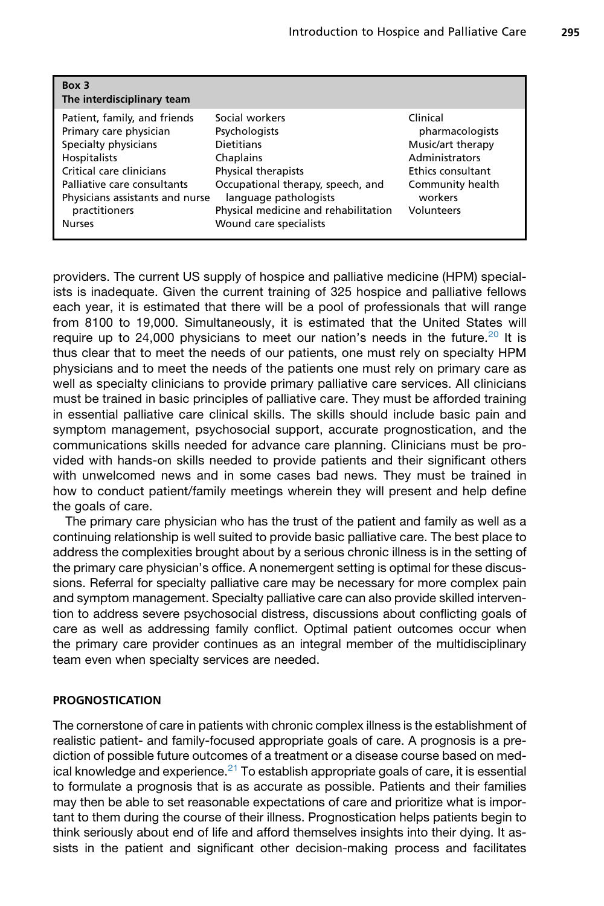<span id="page-8-0"></span>

| Box 3<br>The interdisciplinary team                                                                                                                                                                                            |                                                                                                                                                                                                                          |                                                                                                                                      |
|--------------------------------------------------------------------------------------------------------------------------------------------------------------------------------------------------------------------------------|--------------------------------------------------------------------------------------------------------------------------------------------------------------------------------------------------------------------------|--------------------------------------------------------------------------------------------------------------------------------------|
| Patient, family, and friends<br>Primary care physician<br>Specialty physicians<br>Hospitalists<br>Critical care clinicians<br>Palliative care consultants<br>Physicians assistants and nurse<br>practitioners<br><b>Nurses</b> | Social workers<br>Psychologists<br><b>Dietitians</b><br>Chaplains<br>Physical therapists<br>Occupational therapy, speech, and<br>language pathologists<br>Physical medicine and rehabilitation<br>Wound care specialists | Clinical<br>pharmacologists<br>Music/art therapy<br>Administrators<br>Ethics consultant<br>Community health<br>workers<br>Volunteers |

providers. The current US supply of hospice and palliative medicine (HPM) specialists is inadequate. Given the current training of 325 hospice and palliative fellows each year, it is estimated that there will be a pool of professionals that will range from 8100 to 19,000. Simultaneously, it is estimated that the United States will require up to 24,000 physicians to meet our nation's needs in the future.<sup>[20](#page-14-0)</sup> It is thus clear that to meet the needs of our patients, one must rely on specialty HPM physicians and to meet the needs of the patients one must rely on primary care as well as specialty clinicians to provide primary palliative care services. All clinicians must be trained in basic principles of palliative care. They must be afforded training in essential palliative care clinical skills. The skills should include basic pain and symptom management, psychosocial support, accurate prognostication, and the communications skills needed for advance care planning. Clinicians must be provided with hands-on skills needed to provide patients and their significant others with unwelcomed news and in some cases bad news. They must be trained in how to conduct patient/family meetings wherein they will present and help define the goals of care.

The primary care physician who has the trust of the patient and family as well as a continuing relationship is well suited to provide basic palliative care. The best place to address the complexities brought about by a serious chronic illness is in the setting of the primary care physician's office. A nonemergent setting is optimal for these discussions. Referral for specialty palliative care may be necessary for more complex pain and symptom management. Specialty palliative care can also provide skilled intervention to address severe psychosocial distress, discussions about conflicting goals of care as well as addressing family conflict. Optimal patient outcomes occur when the primary care provider continues as an integral member of the multidisciplinary team even when specialty services are needed.

#### PROGNOSTICATION

The cornerstone of care in patients with chronic complex illness is the establishment of realistic patient- and family-focused appropriate goals of care. A prognosis is a prediction of possible future outcomes of a treatment or a disease course based on medical knowledge and experience. $21$  To establish appropriate goals of care, it is essential to formulate a prognosis that is as accurate as possible. Patients and their families may then be able to set reasonable expectations of care and prioritize what is important to them during the course of their illness. Prognostication helps patients begin to think seriously about end of life and afford themselves insights into their dying. It assists in the patient and significant other decision-making process and facilitates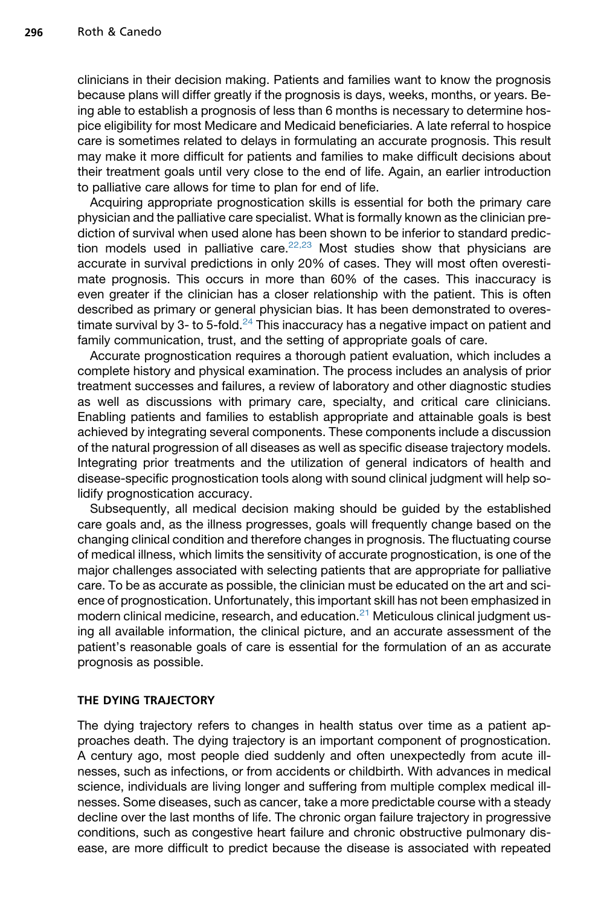clinicians in their decision making. Patients and families want to know the prognosis because plans will differ greatly if the prognosis is days, weeks, months, or years. Being able to establish a prognosis of less than 6 months is necessary to determine hospice eligibility for most Medicare and Medicaid beneficiaries. A late referral to hospice care is sometimes related to delays in formulating an accurate prognosis. This result may make it more difficult for patients and families to make difficult decisions about their treatment goals until very close to the end of life. Again, an earlier introduction to palliative care allows for time to plan for end of life.

Acquiring appropriate prognostication skills is essential for both the primary care physician and the palliative care specialist. What is formally known as the clinician prediction of survival when used alone has been shown to be inferior to standard predic-tion models used in palliative care.<sup>[22,23](#page-14-0)</sup> Most studies show that physicians are accurate in survival predictions in only 20% of cases. They will most often overestimate prognosis. This occurs in more than 60% of the cases. This inaccuracy is even greater if the clinician has a closer relationship with the patient. This is often described as primary or general physician bias. It has been demonstrated to overestimate survival by 3- to 5-fold. $^{24}$  $^{24}$  $^{24}$  This inaccuracy has a negative impact on patient and family communication, trust, and the setting of appropriate goals of care.

Accurate prognostication requires a thorough patient evaluation, which includes a complete history and physical examination. The process includes an analysis of prior treatment successes and failures, a review of laboratory and other diagnostic studies as well as discussions with primary care, specialty, and critical care clinicians. Enabling patients and families to establish appropriate and attainable goals is best achieved by integrating several components. These components include a discussion of the natural progression of all diseases as well as specific disease trajectory models. Integrating prior treatments and the utilization of general indicators of health and disease-specific prognostication tools along with sound clinical judgment will help solidify prognostication accuracy.

Subsequently, all medical decision making should be guided by the established care goals and, as the illness progresses, goals will frequently change based on the changing clinical condition and therefore changes in prognosis. The fluctuating course of medical illness, which limits the sensitivity of accurate prognostication, is one of the major challenges associated with selecting patients that are appropriate for palliative care. To be as accurate as possible, the clinician must be educated on the art and science of prognostication. Unfortunately, this important skill has not been emphasized in modern clinical medicine, research, and education.<sup>[21](#page-14-0)</sup> Meticulous clinical judgment using all available information, the clinical picture, and an accurate assessment of the patient's reasonable goals of care is essential for the formulation of an as accurate prognosis as possible.

#### THE DYING TRAJECTORY

The dying trajectory refers to changes in health status over time as a patient approaches death. The dying trajectory is an important component of prognostication. A century ago, most people died suddenly and often unexpectedly from acute illnesses, such as infections, or from accidents or childbirth. With advances in medical science, individuals are living longer and suffering from multiple complex medical illnesses. Some diseases, such as cancer, take a more predictable course with a steady decline over the last months of life. The chronic organ failure trajectory in progressive conditions, such as congestive heart failure and chronic obstructive pulmonary disease, are more difficult to predict because the disease is associated with repeated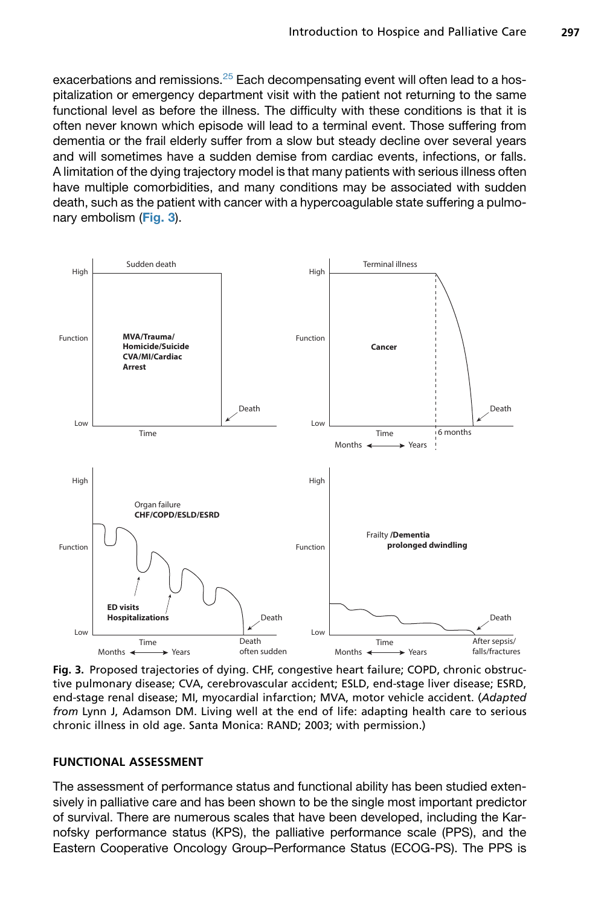exacerbations and remissions.<sup>[25](#page-14-0)</sup> Each decompensating event will often lead to a hospitalization or emergency department visit with the patient not returning to the same functional level as before the illness. The difficulty with these conditions is that it is often never known which episode will lead to a terminal event. Those suffering from dementia or the frail elderly suffer from a slow but steady decline over several years and will sometimes have a sudden demise from cardiac events, infections, or falls. A limitation of the dying trajectory model is that many patients with serious illness often have multiple comorbidities, and many conditions may be associated with sudden death, such as the patient with cancer with a hypercoagulable state suffering a pulmonary embolism (Fig. 3).



Fig. 3. Proposed trajectories of dying. CHF, congestive heart failure; COPD, chronic obstructive pulmonary disease; CVA, cerebrovascular accident; ESLD, end-stage liver disease; ESRD, end-stage renal disease; MI, myocardial infarction; MVA, motor vehicle accident. (Adapted from Lynn J, Adamson DM. Living well at the end of life: adapting health care to serious chronic illness in old age. Santa Monica: RAND; 2003; with permission.)

#### FUNCTIONAL ASSESSMENT

The assessment of performance status and functional ability has been studied extensively in palliative care and has been shown to be the single most important predictor of survival. There are numerous scales that have been developed, including the Karnofsky performance status (KPS), the palliative performance scale (PPS), and the Eastern Cooperative Oncology Group–Performance Status (ECOG-PS). The PPS is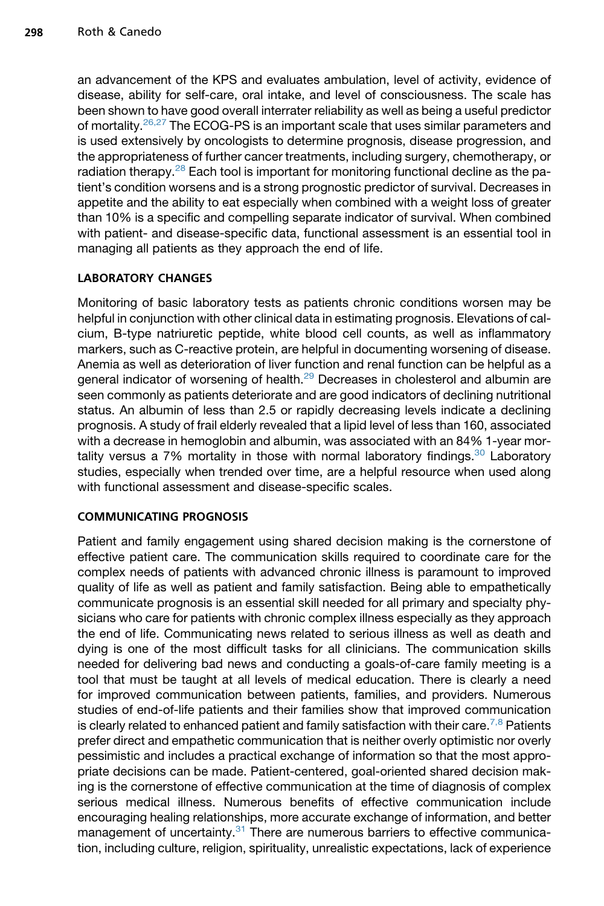an advancement of the KPS and evaluates ambulation, level of activity, evidence of disease, ability for self-care, oral intake, and level of consciousness. The scale has been shown to have good overall interrater reliability as well as being a useful predictor of mortality.<sup>[26,27](#page-14-0)</sup> The ECOG-PS is an important scale that uses similar parameters and is used extensively by oncologists to determine prognosis, disease progression, and the appropriateness of further cancer treatments, including surgery, chemotherapy, or radiation therapy.<sup>[28](#page-15-0)</sup> Each tool is important for monitoring functional decline as the patient's condition worsens and is a strong prognostic predictor of survival. Decreases in appetite and the ability to eat especially when combined with a weight loss of greater than 10% is a specific and compelling separate indicator of survival. When combined with patient- and disease-specific data, functional assessment is an essential tool in managing all patients as they approach the end of life.

## LABORATORY CHANGES

Monitoring of basic laboratory tests as patients chronic conditions worsen may be helpful in conjunction with other clinical data in estimating prognosis. Elevations of calcium, B-type natriuretic peptide, white blood cell counts, as well as inflammatory markers, such as C-reactive protein, are helpful in documenting worsening of disease. Anemia as well as deterioration of liver function and renal function can be helpful as a general indicator of worsening of health.<sup>[29](#page-15-0)</sup> Decreases in cholesterol and albumin are seen commonly as patients deteriorate and are good indicators of declining nutritional status. An albumin of less than 2.5 or rapidly decreasing levels indicate a declining prognosis. A study of frail elderly revealed that a lipid level of less than 160, associated with a decrease in hemoglobin and albumin, was associated with an 84% 1-year mor-tality versus a 7% mortality in those with normal laboratory findings. <sup>[30](#page-15-0)</sup> Laboratory studies, especially when trended over time, are a helpful resource when used along with functional assessment and disease-specific scales.

#### COMMUNICATING PROGNOSIS

Patient and family engagement using shared decision making is the cornerstone of effective patient care. The communication skills required to coordinate care for the complex needs of patients with advanced chronic illness is paramount to improved quality of life as well as patient and family satisfaction. Being able to empathetically communicate prognosis is an essential skill needed for all primary and specialty physicians who care for patients with chronic complex illness especially as they approach the end of life. Communicating news related to serious illness as well as death and dying is one of the most difficult tasks for all clinicians. The communication skills needed for delivering bad news and conducting a goals-of-care family meeting is a tool that must be taught at all levels of medical education. There is clearly a need for improved communication between patients, families, and providers. Numerous studies of end-of-life patients and their families show that improved communication is clearly related to enhanced patient and family satisfaction with their care.<sup>[7,8](#page-14-0)</sup> Patients prefer direct and empathetic communication that is neither overly optimistic nor overly pessimistic and includes a practical exchange of information so that the most appropriate decisions can be made. Patient-centered, goal-oriented shared decision making is the cornerstone of effective communication at the time of diagnosis of complex serious medical illness. Numerous benefits of effective communication include encouraging healing relationships, more accurate exchange of information, and better management of uncertainty.<sup>[31](#page-15-0)</sup> There are numerous barriers to effective communication, including culture, religion, spirituality, unrealistic expectations, lack of experience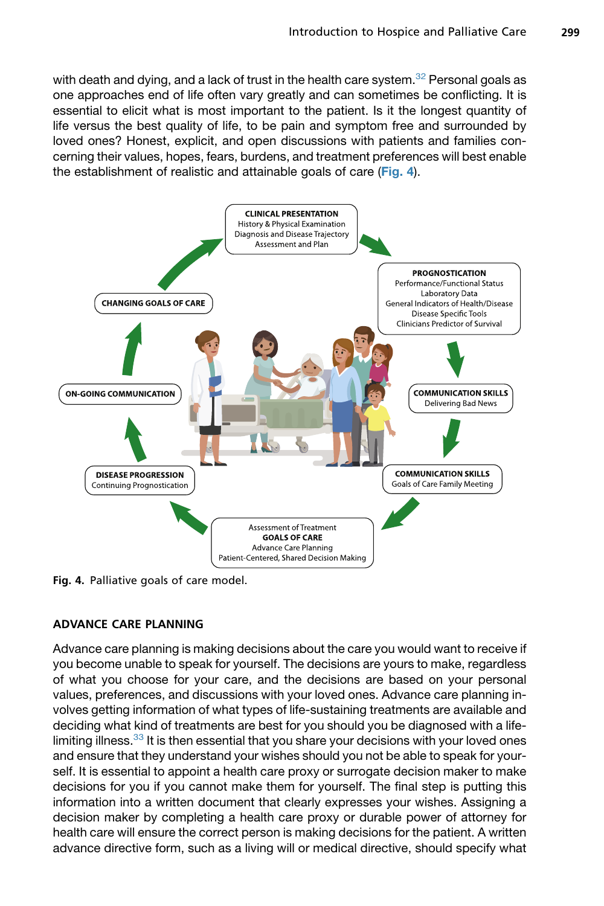with death and dying, and a lack of trust in the health care system.<sup>[32](#page-15-0)</sup> Personal goals as one approaches end of life often vary greatly and can sometimes be conflicting. It is essential to elicit what is most important to the patient. Is it the longest quantity of life versus the best quality of life, to be pain and symptom free and surrounded by loved ones? Honest, explicit, and open discussions with patients and families concerning their values, hopes, fears, burdens, and treatment preferences will best enable the establishment of realistic and attainable goals of care (Fig. 4).



Fig. 4. Palliative goals of care model.

# ADVANCE CARE PLANNING

Advance care planning is making decisions about the care you would want to receive if you become unable to speak for yourself. The decisions are yours to make, regardless of what you choose for your care, and the decisions are based on your personal values, preferences, and discussions with your loved ones. Advance care planning involves getting information of what types of life-sustaining treatments are available and deciding what kind of treatments are best for you should you be diagnosed with a life-limiting illness.<sup>[33](#page-15-0)</sup> It is then essential that you share your decisions with your loved ones and ensure that they understand your wishes should you not be able to speak for yourself. It is essential to appoint a health care proxy or surrogate decision maker to make decisions for you if you cannot make them for yourself. The final step is putting this information into a written document that clearly expresses your wishes. Assigning a decision maker by completing a health care proxy or durable power of attorney for health care will ensure the correct person is making decisions for the patient. A written advance directive form, such as a living will or medical directive, should specify what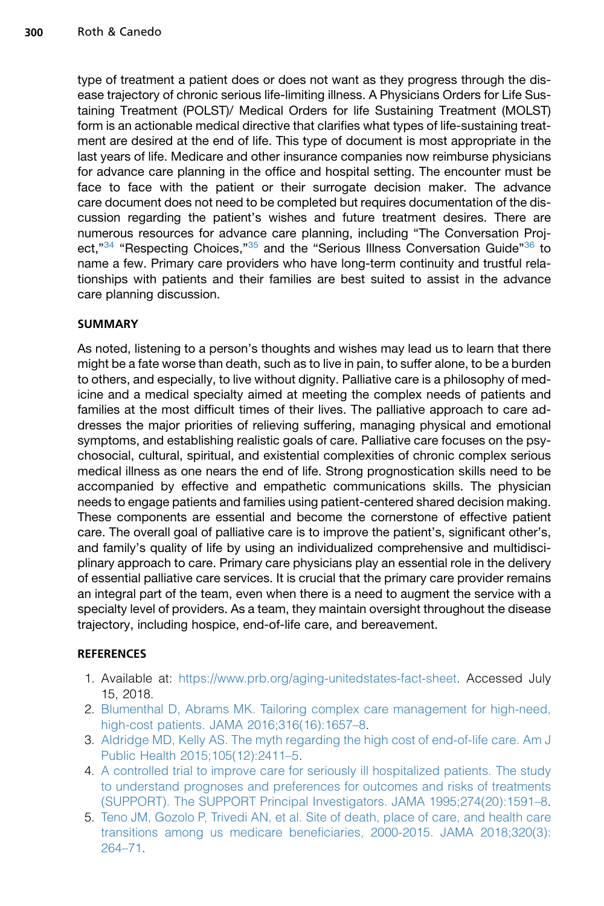<span id="page-13-0"></span>type of treatment a patient does or does not want as they progress through the disease trajectory of chronic serious life-limiting illness. A Physicians Orders for Life Sustaining Treatment (POLST)/ Medical Orders for life Sustaining Treatment (MOLST) form is an actionable medical directive that clarifies what types of life-sustaining treatment are desired at the end of life. This type of document is most appropriate in the last years of life. Medicare and other insurance companies now reimburse physicians for advance care planning in the office and hospital setting. The encounter must be face to face with the patient or their surrogate decision maker. The advance care document does not need to be completed but requires documentation of the discussion regarding the patient's wishes and future treatment desires. There are numerous resources for advance care planning, including "The Conversation Proj-ect,"[34](#page-15-0) "Respecting Choices,"[35](#page-15-0) and the "Serious Illness Conversation Guide"[36](#page-15-0) to name a few. Primary care providers who have long-term continuity and trustful relationships with patients and their families are best suited to assist in the advance care planning discussion.

## SUMMARY

As noted, listening to a person's thoughts and wishes may lead us to learn that there might be a fate worse than death, such as to live in pain, to suffer alone, to be a burden to others, and especially, to live without dignity. Palliative care is a philosophy of medicine and a medical specialty aimed at meeting the complex needs of patients and families at the most difficult times of their lives. The palliative approach to care addresses the major priorities of relieving suffering, managing physical and emotional symptoms, and establishing realistic goals of care. Palliative care focuses on the psychosocial, cultural, spiritual, and existential complexities of chronic complex serious medical illness as one nears the end of life. Strong prognostication skills need to be accompanied by effective and empathetic communications skills. The physician needs to engage patients and families using patient-centered shared decision making. These components are essential and become the cornerstone of effective patient care. The overall goal of palliative care is to improve the patient's, significant other's, and family's quality of life by using an individualized comprehensive and multidisciplinary approach to care. Primary care physicians play an essential role in the delivery of essential palliative care services. It is crucial that the primary care provider remains an integral part of the team, even when there is a need to augment the service with a specialty level of providers. As a team, they maintain oversight throughout the disease trajectory, including hospice, end-of-life care, and bereavement.

# REFERENCES

- 1. Available at: [https://www.prb.org/aging-unitedstates-fact-sheet.](https://www.prb.org/aging-unitedstates-fact-sheet) Accessed July 15, 2018.
- 2. [Blumenthal D, Abrams MK. Tailoring complex care management for high-need,](http://refhub.elsevier.com/S0095-4543(19)30027-2/sref2) [high-cost patients. JAMA 2016;316\(16\):1657–8.](http://refhub.elsevier.com/S0095-4543(19)30027-2/sref2)
- 3. [Aldridge MD, Kelly AS. The myth regarding the high cost of end-of-life care. Am J](http://refhub.elsevier.com/S0095-4543(19)30027-2/sref3) [Public Health 2015;105\(12\):2411–5.](http://refhub.elsevier.com/S0095-4543(19)30027-2/sref3)
- 4. [A controlled trial to improve care for seriously ill hospitalized patients. The study](http://refhub.elsevier.com/S0095-4543(19)30027-2/sref4) [to understand prognoses and preferences for outcomes and risks of treatments](http://refhub.elsevier.com/S0095-4543(19)30027-2/sref4) [\(SUPPORT\). The SUPPORT Principal Investigators. JAMA 1995;274\(20\):1591–8.](http://refhub.elsevier.com/S0095-4543(19)30027-2/sref4)
- 5. [Teno JM, Gozolo P, Trivedi AN, et al. Site of death, place of care, and health care](http://refhub.elsevier.com/S0095-4543(19)30027-2/sref5) [transitions among us medicare beneficiaries, 2000-2015. JAMA 2018;320\(3\):](http://refhub.elsevier.com/S0095-4543(19)30027-2/sref5) [264–71.](http://refhub.elsevier.com/S0095-4543(19)30027-2/sref5)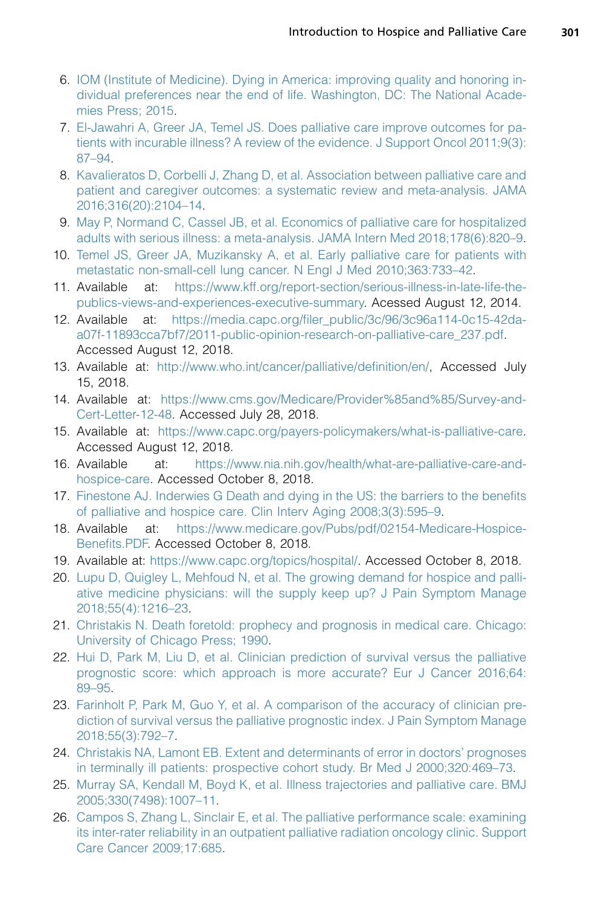- <span id="page-14-0"></span>6. [IOM \(Institute of Medicine\). Dying in America: improving quality and honoring in](http://refhub.elsevier.com/S0095-4543(19)30027-2/sref6)[dividual preferences near the end of life. Washington, DC: The National Acade](http://refhub.elsevier.com/S0095-4543(19)30027-2/sref6)[mies Press; 2015](http://refhub.elsevier.com/S0095-4543(19)30027-2/sref6).
- 7. [El-Jawahri A, Greer JA, Temel JS. Does palliative care improve outcomes for pa](http://refhub.elsevier.com/S0095-4543(19)30027-2/sref7)[tients with incurable illness? A review of the evidence. J Support Oncol 2011;9\(3\):](http://refhub.elsevier.com/S0095-4543(19)30027-2/sref7) [87–94](http://refhub.elsevier.com/S0095-4543(19)30027-2/sref7).
- 8. [Kavalieratos D, Corbelli J, Zhang D, et al. Association between palliative care and](http://refhub.elsevier.com/S0095-4543(19)30027-2/sref8) [patient and caregiver outcomes: a systematic review and meta-analysis. JAMA](http://refhub.elsevier.com/S0095-4543(19)30027-2/sref8) [2016;316\(20\):2104–14.](http://refhub.elsevier.com/S0095-4543(19)30027-2/sref8)
- 9. [May P, Normand C, Cassel JB, et al. Economics of palliative care for hospitalized](http://refhub.elsevier.com/S0095-4543(19)30027-2/sref9) [adults with serious illness: a meta-analysis. JAMA Intern Med 2018;178\(6\):820–9](http://refhub.elsevier.com/S0095-4543(19)30027-2/sref9).
- 10. [Temel JS, Greer JA, Muzikansky A, et al. Early palliative care for patients with](http://refhub.elsevier.com/S0095-4543(19)30027-2/sref10) [metastatic non-small-cell lung cancer. N Engl J Med 2010;363:733–42](http://refhub.elsevier.com/S0095-4543(19)30027-2/sref10).
- 11. Available at: [https://www.kff.org/report-section/serious-illness-in-late-life-the](https://www.kff.org/report-section/serious-illness-in-late-life-the-publics-views-and-experiences-executive-summary)[publics-views-and-experiences-executive-summary.](https://www.kff.org/report-section/serious-illness-in-late-life-the-publics-views-and-experiences-executive-summary) Acessed August 12, 2014.
- 12. Available at: [https://media.capc.org/filer\\_public/3c/96/3c96a114-0c15-42da](https://media.capc.org/filer_public/3c/96/3c96a114-0c15-42da-a07f-11893cca7bf7/2011-public-opinion-research-on-palliative-care_237.pdf)[a07f-11893cca7bf7/2011-public-opinion-research-on-palliative-care\\_237.pdf](https://media.capc.org/filer_public/3c/96/3c96a114-0c15-42da-a07f-11893cca7bf7/2011-public-opinion-research-on-palliative-care_237.pdf). Accessed August 12, 2018.
- 13. Available at: [http://www.who.int/cancer/palliative/definition/en/,](http://www.who.int/cancer/palliative/definition/en/) Accessed July 15, 2018.
- 14. Available at: [https://www.cms.gov/Medicare/Provider%85and%85/Survey-and-](https://www.cms.gov/Medicare/Provider%85and%85/Survey-and-Cert-Letter-12-48)[Cert-Letter-12-48.](https://www.cms.gov/Medicare/Provider%85and%85/Survey-and-Cert-Letter-12-48) Accessed July 28, 2018.
- 15. Available at: <https://www.capc.org/payers-policymakers/what-is-palliative-care>. Accessed August 12, 2018.
- 16. Available at: [https://www.nia.nih.gov/health/what-are-palliative-care-and](https://www.nia.nih.gov/health/what-are-palliative-care-and-hospice-care)[hospice-care](https://www.nia.nih.gov/health/what-are-palliative-care-and-hospice-care). Accessed October 8, 2018.
- 17. [Finestone AJ. Inderwies G Death and dying in the US: the barriers to the benefits](http://refhub.elsevier.com/S0095-4543(19)30027-2/sref17) [of palliative and hospice care. Clin Interv Aging 2008;3\(3\):595–9](http://refhub.elsevier.com/S0095-4543(19)30027-2/sref17).
- 18. Available at: [https://www.medicare.gov/Pubs/pdf/02154-Medicare-Hospice-](https://www.medicare.gov/Pubs/pdf/02154-Medicare-Hospice-Benefits.PDF)[Benefits.PDF.](https://www.medicare.gov/Pubs/pdf/02154-Medicare-Hospice-Benefits.PDF) Accessed October 8, 2018.
- 19. Available at: [https://www.capc.org/topics/hospital/.](https://www.capc.org/topics/hospital/) Accessed October 8, 2018.
- 20. [Lupu D, Quigley L, Mehfoud N, et al. The growing demand for hospice and palli](http://refhub.elsevier.com/S0095-4543(19)30027-2/sref20)[ative medicine physicians: will the supply keep up? J Pain Symptom Manage](http://refhub.elsevier.com/S0095-4543(19)30027-2/sref20) [2018;55\(4\):1216–23.](http://refhub.elsevier.com/S0095-4543(19)30027-2/sref20)
- 21. [Christakis N. Death foretold: prophecy and prognosis in medical care. Chicago:](http://refhub.elsevier.com/S0095-4543(19)30027-2/sref21) [University of Chicago Press; 1990.](http://refhub.elsevier.com/S0095-4543(19)30027-2/sref21)
- 22. [Hui D, Park M, Liu D, et al. Clinician prediction of survival versus the palliative](http://refhub.elsevier.com/S0095-4543(19)30027-2/sref22) [prognostic score: which approach is more accurate? Eur J Cancer 2016;64:](http://refhub.elsevier.com/S0095-4543(19)30027-2/sref22) [89–95](http://refhub.elsevier.com/S0095-4543(19)30027-2/sref22).
- 23. [Farinholt P, Park M, Guo Y, et al. A comparison of the accuracy of clinician pre](http://refhub.elsevier.com/S0095-4543(19)30027-2/sref23)[diction of survival versus the palliative prognostic index. J Pain Symptom Manage](http://refhub.elsevier.com/S0095-4543(19)30027-2/sref23) [2018;55\(3\):792–7.](http://refhub.elsevier.com/S0095-4543(19)30027-2/sref23)
- 24. [Christakis NA, Lamont EB. Extent and determinants of error in doctors' prognoses](http://refhub.elsevier.com/S0095-4543(19)30027-2/sref24) [in terminally ill patients: prospective cohort study. Br Med J 2000;320:469–73.](http://refhub.elsevier.com/S0095-4543(19)30027-2/sref24)
- 25. [Murray SA, Kendall M, Boyd K, et al. Illness trajectories and palliative care. BMJ](http://refhub.elsevier.com/S0095-4543(19)30027-2/sref25) [2005;330\(7498\):1007–11](http://refhub.elsevier.com/S0095-4543(19)30027-2/sref25).
- 26. [Campos S, Zhang L, Sinclair E, et al. The palliative performance scale: examining](http://refhub.elsevier.com/S0095-4543(19)30027-2/sref26) [its inter-rater reliability in an outpatient palliative radiation oncology clinic. Support](http://refhub.elsevier.com/S0095-4543(19)30027-2/sref26) [Care Cancer 2009;17:685.](http://refhub.elsevier.com/S0095-4543(19)30027-2/sref26)